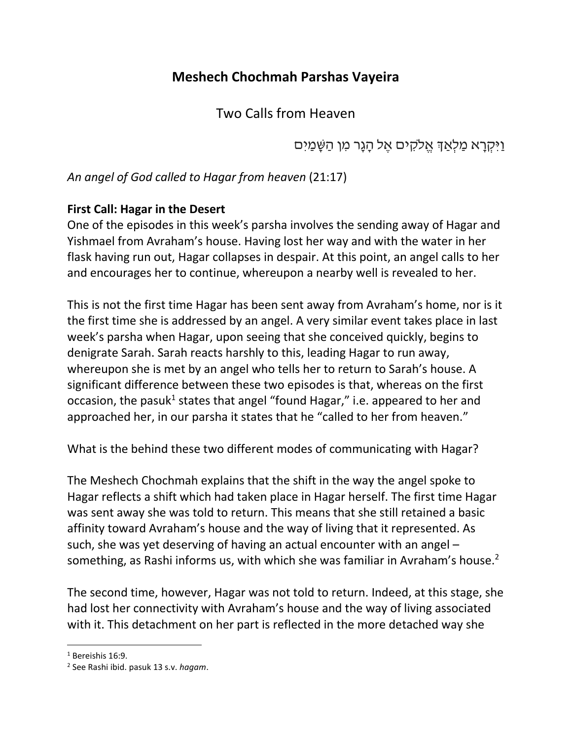## **Meshech Chochmah Parshas Vayeira**

Two Calls from Heaven

וַיִּ קְ רָ א מַ לְ אַ ְך אֱ ֹלקִּ ים אֶ ל הָ גָר מִּ ן הַ שָ מַ יִּ ם

*An angel of God called to Hagar from heaven* (21:17)

## **First Call: Hagar in the Desert**

One of the episodes in this week's parsha involves the sending away of Hagar and Yishmael from Avraham's house. Having lost her way and with the water in her flask having run out, Hagar collapses in despair. At this point, an angel calls to her and encourages her to continue, whereupon a nearby well is revealed to her.

This is not the first time Hagar has been sent away from Avraham's home, nor is it the first time she is addressed by an angel. A very similar event takes place in last week's parsha when Hagar, upon seeing that she conceived quickly, begins to denigrate Sarah. Sarah reacts harshly to this, leading Hagar to run away, whereupon she is met by an angel who tells her to return to Sarah's house. A significant difference between these two episodes is that, whereas on the first occasion, the pasuk<sup>1</sup> states that angel "found Hagar," i.e. appeared to her and approached her, in our parsha it states that he "called to her from heaven."

What is the behind these two different modes of communicating with Hagar?

The Meshech Chochmah explains that the shift in the way the angel spoke to Hagar reflects a shift which had taken place in Hagar herself. The first time Hagar was sent away she was told to return. This means that she still retained a basic affinity toward Avraham's house and the way of living that it represented. As such, she was yet deserving of having an actual encounter with an angel – something, as Rashi informs us, with which she was familiar in Avraham's house.<sup>2</sup>

The second time, however, Hagar was not told to return. Indeed, at this stage, she had lost her connectivity with Avraham's house and the way of living associated with it. This detachment on her part is reflected in the more detached way she

l  $1$  Bereishis 16:9.

<sup>2</sup> See Rashi ibid. pasuk 13 s.v. *hagam*.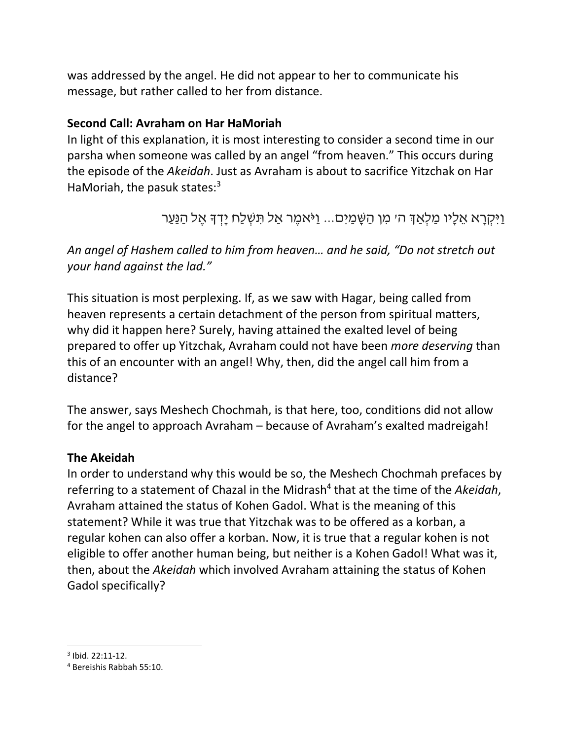was addressed by the angel. He did not appear to her to communicate his message, but rather called to her from distance.

## **Second Call: Avraham on Har HaMoriah**

In light of this explanation, it is most interesting to consider a second time in our parsha when someone was called by an angel "from heaven." This occurs during the episode of the *Akeidah*. Just as Avraham is about to sacrifice Yitzchak on Har HaMoriah, the pasuk states: $3$ 

```
וַיִּקְרָא אֵלָיו מַלְאַדְּ הי מְן הַשֶּׁמַיִם... וַיֹּאמֶר אַל תִּשְׁלַח יָדְדָּ אֵל הַנַּעַר
```
*An angel of Hashem called to him from heaven… and he said, "Do not stretch out your hand against the lad."*

This situation is most perplexing. If, as we saw with Hagar, being called from heaven represents a certain detachment of the person from spiritual matters, why did it happen here? Surely, having attained the exalted level of being prepared to offer up Yitzchak, Avraham could not have been *more deserving* than this of an encounter with an angel! Why, then, did the angel call him from a distance?

The answer, says Meshech Chochmah, is that here, too, conditions did not allow for the angel to approach Avraham – because of Avraham's exalted madreigah!

## **The Akeidah**

In order to understand why this would be so, the Meshech Chochmah prefaces by referring to a statement of Chazal in the Midrash<sup>4</sup> that at the time of the Akeidah, Avraham attained the status of Kohen Gadol. What is the meaning of this statement? While it was true that Yitzchak was to be offered as a korban, a regular kohen can also offer a korban. Now, it is true that a regular kohen is not eligible to offer another human being, but neither is a Kohen Gadol! What was it, then, about the *Akeidah* which involved Avraham attaining the status of Kohen Gadol specifically?

l

 $3$  Ibid. 22:11-12.

<sup>4</sup> Bereishis Rabbah 55:10.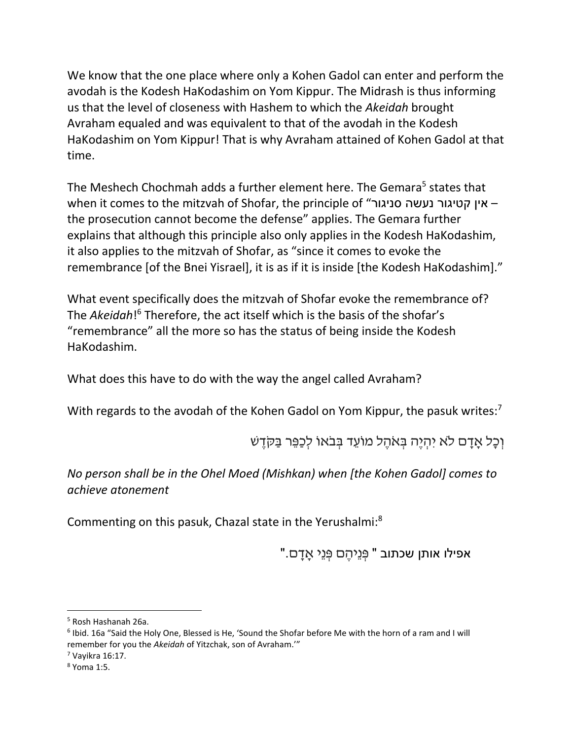We know that the one place where only a Kohen Gadol can enter and perform the avodah is the Kodesh HaKodashim on Yom Kippur. The Midrash is thus informing us that the level of closeness with Hashem to which the *Akeidah* brought Avraham equaled and was equivalent to that of the avodah in the Kodesh HaKodashim on Yom Kippur! That is why Avraham attained of Kohen Gadol at that time.

The Meshech Chochmah adds a further element here. The Gemara<sup>5</sup> states that when it comes to the mitzvah of Shofar, the principle of "סניגור נעשה קטיגור אין– the prosecution cannot become the defense" applies. The Gemara further explains that although this principle also only applies in the Kodesh HaKodashim, it also applies to the mitzvah of Shofar, as "since it comes to evoke the remembrance [of the Bnei Yisrael], it is as if it is inside [the Kodesh HaKodashim]."

What event specifically does the mitzvah of Shofar evoke the remembrance of? The *Akeidah*!<sup>6</sup> Therefore, the act itself which is the basis of the shofar's "remembrance" all the more so has the status of being inside the Kodesh HaKodashim.

What does this have to do with the way the angel called Avraham?

With regards to the avodah of the Kohen Gadol on Yom Kippur, the pasuk writes:<sup>7</sup>

וְכַל אַדָם לֹא יְהָיֶה בְּאֹהֶל מוֹעֵד בְּבֹאוֹ לְכַפֵּר בַּקֹּדֶשׁ

*No person shall be in the Ohel Moed (Mishkan) when [the Kohen Gadol] comes to achieve atonement*

Commenting on this pasuk, Chazal state in the Yerushalmi:<sup>8</sup>

"אפילו אותן שכתוב " פְּנֵיהֶם פְּנֵי אָדָם.

l

<sup>5</sup> Rosh Hashanah 26a.

<sup>&</sup>lt;sup>6</sup> Ibid. 16a "Said the Holy One, Blessed is He, 'Sound the Shofar before Me with the horn of a ram and I will remember for you the *Akeidah* of Yitzchak, son of Avraham.'"

 $<sup>7</sup>$  Vayikra 16:17.</sup>

<sup>8</sup> Yoma 1:5.